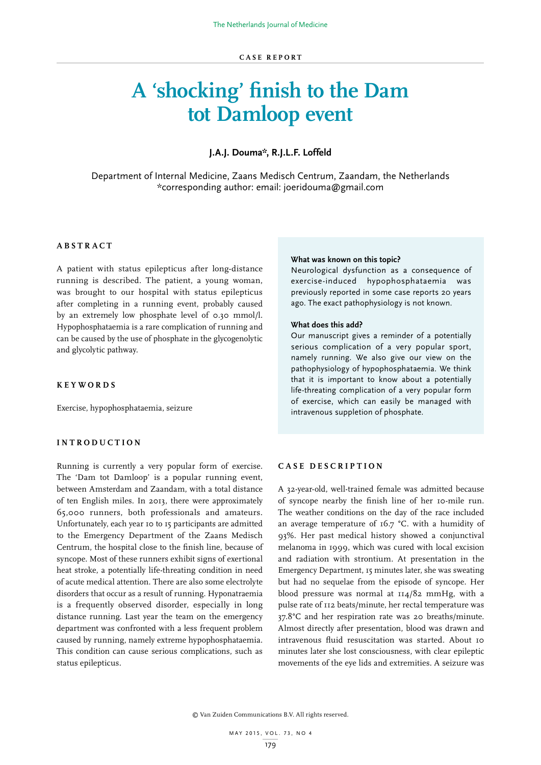# **A 'shocking' finish to the Dam tot Damloop event**

# **J.A.J. Douma\*, R.J.L.F. Loffeld**

Department of Internal Medicine, Zaans Medisch Centrum, Zaandam, the Netherlands \*corresponding author: email: joeridouma@gmail.com

# **ABSTRACT**

A patient with status epilepticus after long-distance running is described. The patient, a young woman, was brought to our hospital with status epilepticus after completing in a running event, probably caused by an extremely low phosphate level of 0.30 mmol/l. Hypophosphataemia is a rare complication of running and can be caused by the use of phosphate in the glycogenolytic and glycolytic pathway.

### **KEYWORDS**

Exercise, hypophosphataemia, seizure

# **INTRODUCTION**

Running is currently a very popular form of exercise. The 'Dam tot Damloop' is a popular running event, between Amsterdam and Zaandam, with a total distance of ten English miles. In 2013, there were approximately 65,000 runners, both professionals and amateurs. Unfortunately, each year 10 to 15 participants are admitted to the Emergency Department of the Zaans Medisch Centrum, the hospital close to the finish line, because of syncope. Most of these runners exhibit signs of exertional heat stroke, a potentially life-threating condition in need of acute medical attention. There are also some electrolyte disorders that occur as a result of running. Hyponatraemia is a frequently observed disorder, especially in long distance running. Last year the team on the emergency department was confronted with a less frequent problem caused by running, namely extreme hypophosphataemia. This condition can cause serious complications, such as status epilepticus.

#### **What was known on this topic?**

Neurological dysfunction as a consequence of exercise-induced hypophosphataemia was previously reported in some case reports 20 years ago. The exact pathophysiology is not known.

## **What does this add?**

Our manuscript gives a reminder of a potentially serious complication of a very popular sport, namely running. We also give our view on the pathophysiology of hypophosphataemia. We think that it is important to know about a potentially life-threating complication of a very popular form of exercise, which can easily be managed with intravenous suppletion of phosphate.

# **CASE DESCRIPTION**

A 32-year-old, well-trained female was admitted because of syncope nearby the finish line of her 10-mile run. The weather conditions on the day of the race included an average temperature of 16.7 °C. with a humidity of 93%. Her past medical history showed a conjunctival melanoma in 1999, which was cured with local excision and radiation with strontium. At presentation in the Emergency Department, 15 minutes later, she was sweating but had no sequelae from the episode of syncope. Her blood pressure was normal at 114/82 mmHg, with a pulse rate of 112 beats/minute, her rectal temperature was 37.8°C and her respiration rate was 20 breaths/minute. Almost directly after presentation, blood was drawn and intravenous fluid resuscitation was started. About 10 minutes later she lost consciousness, with clear epileptic movements of the eye lids and extremities. A seizure was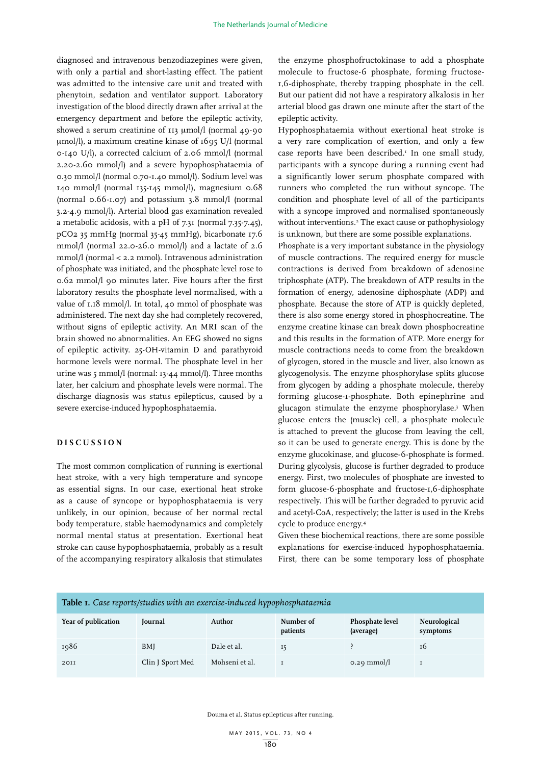diagnosed and intravenous benzodiazepines were given, with only a partial and short-lasting effect. The patient was admitted to the intensive care unit and treated with phenytoin, sedation and ventilator support. Laboratory investigation of the blood directly drawn after arrival at the emergency department and before the epileptic activity, showed a serum creatinine of 113 µmol/l (normal 49-90 mmol/l), a maximum creatine kinase of 1695 U/l (normal 0-140 U/l), a corrected calcium of 2.06 mmol/l (normal 2.20-2.60 mmol/l) and a severe hypophosphataemia of 0.30 mmol/l (normal 0.70-1.40 mmol/l). Sodium level was 140 mmol/l (normal 135-145 mmol/l), magnesium 0.68 (normal 0.66-1.07) and potassium 3.8 mmol/l (normal 3.2-4.9 mmol/l). Arterial blood gas examination revealed a metabolic acidosis, with a pH of 7.31 (normal 7.35-7.45), pCO2 35 mmHg (normal 35-45 mmHg), bicarbonate 17.6 mmol/l (normal 22.0-26.0 mmol/l) and a lactate of 2.6 mmol/l (normal < 2.2 mmol). Intravenous administration of phosphate was initiated, and the phosphate level rose to 0.62 mmol/l 90 minutes later. Five hours after the first laboratory results the phosphate level normalised, with a value of 1.18 mmol/l. In total, 40 mmol of phosphate was administered. The next day she had completely recovered, without signs of epileptic activity. An MRI scan of the brain showed no abnormalities. An EEG showed no signs of epileptic activity. 25-OH-vitamin D and parathyroid hormone levels were normal. The phosphate level in her urine was 5 mmol/l (normal: 13-44 mmol/l). Three months later, her calcium and phosphate levels were normal. The discharge diagnosis was status epilepticus, caused by a severe exercise-induced hypophosphataemia.

# **DISCUSSION**

The most common complication of running is exertional heat stroke, with a very high temperature and syncope as essential signs. In our case, exertional heat stroke as a cause of syncope or hypophosphataemia is very unlikely, in our opinion, because of her normal rectal body temperature, stable haemodynamics and completely normal mental status at presentation. Exertional heat stroke can cause hypophosphataemia, probably as a result of the accompanying respiratory alkalosis that stimulates

the enzyme phosphofructokinase to add a phosphate molecule to fructose-6 phosphate, forming fructose-1,6-diphosphate, thereby trapping phosphate in the cell. But our patient did not have a respiratory alkalosis in her arterial blood gas drawn one minute after the start of the epileptic activity.

Hypophosphataemia without exertional heat stroke is a very rare complication of exertion, and only a few case reports have been described.<sup>1</sup> In one small study, participants with a syncope during a running event had a significantly lower serum phosphate compared with runners who completed the run without syncope. The condition and phosphate level of all of the participants with a syncope improved and normalised spontaneously without interventions.<sup>2</sup> The exact cause or pathophysiology is unknown, but there are some possible explanations.

Phosphate is a very important substance in the physiology of muscle contractions. The required energy for muscle contractions is derived from breakdown of adenosine triphosphate (ATP). The breakdown of ATP results in the formation of energy, adenosine diphosphate (ADP) and phosphate. Because the store of ATP is quickly depleted, there is also some energy stored in phosphocreatine. The enzyme creatine kinase can break down phosphocreatine and this results in the formation of ATP. More energy for muscle contractions needs to come from the breakdown of glycogen, stored in the muscle and liver, also known as glycogenolysis. The enzyme phosphorylase splits glucose from glycogen by adding a phosphate molecule, thereby forming glucose-1-phosphate. Both epinephrine and glucagon stimulate the enzyme phosphorylase.3 When glucose enters the (muscle) cell, a phosphate molecule is attached to prevent the glucose from leaving the cell, so it can be used to generate energy. This is done by the enzyme glucokinase, and glucose-6-phosphate is formed. During glycolysis, glucose is further degraded to produce energy. First, two molecules of phosphate are invested to form glucose-6-phosphate and fructose-1,6-diphosphate respectively. This will be further degraded to pyruvic acid and acetyl-CoA, respectively; the latter is used in the Krebs cycle to produce energy.4

Given these biochemical reactions, there are some possible explanations for exercise-induced hypophosphataemia. First, there can be some temporary loss of phosphate

| <b>Table 1.</b> Case reports/studies with an exercise-induced hypophosphataemia |                  |                |                       |                                     |                          |
|---------------------------------------------------------------------------------|------------------|----------------|-----------------------|-------------------------------------|--------------------------|
| Year of publication                                                             | Journal          | Author         | Number of<br>patients | <b>Phosphate level</b><br>(average) | Neurological<br>symptoms |
| 1986                                                                            | BMI              | Dale et al.    | 15                    |                                     | 16                       |
| 20II                                                                            | Clin J Sport Med | Mohseni et al. |                       | $0.29$ mmol/l                       |                          |